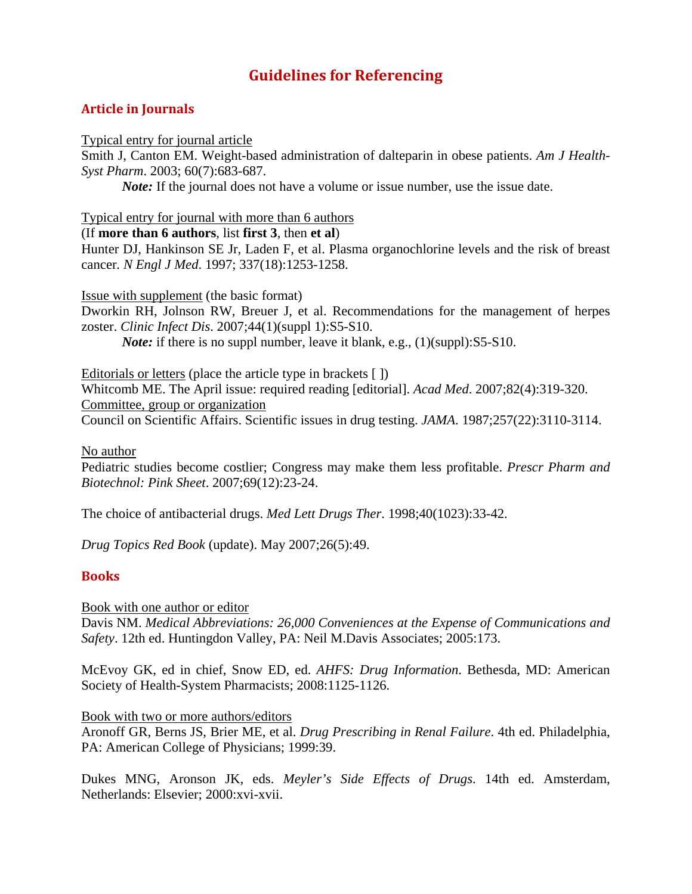# **Guidelines for Referencing**

## **Article in Journals**

### Typical entry for journal article

Smith J, Canton EM. Weight-based administration of dalteparin in obese patients. *Am J Health-Syst Pharm*. 2003; 60(7):683-687.

*Note:* If the journal does not have a volume or issue number, use the issue date.

Typical entry for journal with more than 6 authors

## (If **more than 6 authors**, list **first 3**, then **et al**)

Hunter DJ, Hankinson SE Jr, Laden F, et al. Plasma organochlorine levels and the risk of breast cancer*. N Engl J Med*. 1997; 337(18):1253-1258.

Issue with supplement (the basic format)

Dworkin RH, Jolnson RW, Breuer J, et al. Recommendations for the management of herpes zoster. *Clinic Infect Dis*. 2007;44(1)(suppl 1):S5-S10.

*Note:* if there is no suppl number, leave it blank, e.g., (1)(suppl):S5-S10.

Editorials or letters (place the article type in brackets [])

Whitcomb ME. The April issue: required reading [editorial]. *Acad Med*. 2007;82(4):319-320. Committee, group or organization

Council on Scientific Affairs. Scientific issues in drug testing. *JAMA*. 1987;257(22):3110-3114.

No author

Pediatric studies become costlier; Congress may make them less profitable. *Prescr Pharm and Biotechnol: Pink Sheet*. 2007;69(12):23-24.

The choice of antibacterial drugs. *Med Lett Drugs Ther*. 1998;40(1023):33-42.

*Drug Topics Red Book* (update). May 2007;26(5):49.

## **Books**

Book with one author or editor

Davis NM. *Medical Abbreviations: 26,000 Conveniences at the Expense of Communications and Safety*. 12th ed. Huntingdon Valley, PA: Neil M.Davis Associates; 2005:173.

McEvoy GK, ed in chief, Snow ED, ed. *AHFS: Drug Information*. Bethesda, MD: American Society of Health-System Pharmacists; 2008:1125-1126.

Book with two or more authors/editors

Aronoff GR, Berns JS, Brier ME, et al. *Drug Prescribing in Renal Failure*. 4th ed. Philadelphia, PA: American College of Physicians; 1999:39.

Dukes MNG, Aronson JK, eds. *Meyler's Side Effects of Drugs*. 14th ed. Amsterdam, Netherlands: Elsevier; 2000:xvi-xvii.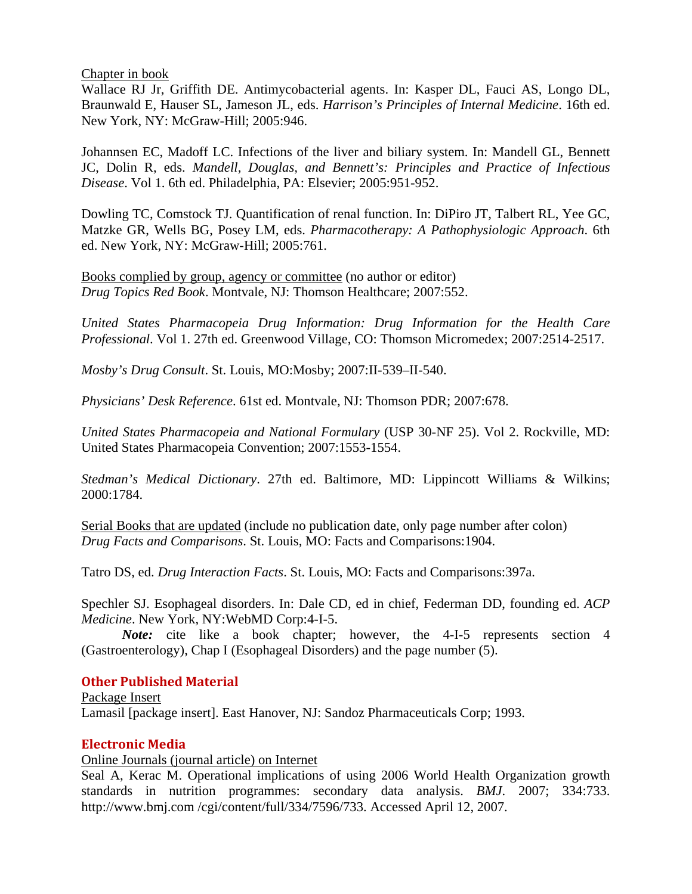Chapter in book

Wallace RJ Jr, Griffith DE. Antimycobacterial agents. In: Kasper DL, Fauci AS, Longo DL, Braunwald E, Hauser SL, Jameson JL, eds. *Harrison's Principles of Internal Medicine*. 16th ed. New York, NY: McGraw-Hill; 2005:946.

Johannsen EC, Madoff LC. Infections of the liver and biliary system. In: Mandell GL, Bennett JC, Dolin R, eds. *Mandell, Douglas, and Bennett's: Principles and Practice of Infectious Disease*. Vol 1. 6th ed. Philadelphia, PA: Elsevier; 2005:951-952.

Dowling TC, Comstock TJ. Quantification of renal function. In: DiPiro JT, Talbert RL, Yee GC, Matzke GR, Wells BG, Posey LM, eds. *Pharmacotherapy: A Pathophysiologic Approach*. 6th ed. New York, NY: McGraw-Hill; 2005:761.

Books complied by group, agency or committee (no author or editor) *Drug Topics Red Book*. Montvale, NJ: Thomson Healthcare; 2007:552.

*United States Pharmacopeia Drug Information: Drug Information for the Health Care Professional*. Vol 1. 27th ed. Greenwood Village, CO: Thomson Micromedex; 2007:2514-2517.

*Mosby's Drug Consult*. St. Louis, MO:Mosby; 2007:II-539–II-540.

*Physicians' Desk Reference*. 61st ed. Montvale, NJ: Thomson PDR; 2007:678.

*United States Pharmacopeia and National Formulary* (USP 30-NF 25). Vol 2. Rockville, MD: United States Pharmacopeia Convention; 2007:1553-1554.

*Stedman's Medical Dictionary*. 27th ed. Baltimore, MD: Lippincott Williams & Wilkins; 2000:1784.

Serial Books that are updated (include no publication date, only page number after colon) *Drug Facts and Comparisons*. St. Louis, MO: Facts and Comparisons:1904.

Tatro DS, ed. *Drug Interaction Facts*. St. Louis, MO: Facts and Comparisons:397a.

Spechler SJ. Esophageal disorders. In: Dale CD, ed in chief, Federman DD, founding ed. *ACP Medicine*. New York, NY:WebMD Corp:4-I-5.

*Note*: cite like a book chapter; however, the 4-I-5 represents section 4 (Gastroenterology), Chap I (Esophageal Disorders) and the page number (5).

## **Other Published Material**

Lamasil [package insert]. East Hanover, NJ: Sandoz Pharmaceuticals Corp; 1993. Package Insert

## **Electronic Media**

Online Journals (journal article) on Internet

Seal A, Kerac M. Operational implications of using 2006 World Health Organization growth standards in nutrition programmes: secondary data analysis. *BMJ*. 2007; 334:733. http://www.bmj.com /cgi/content/full/334/7596/733. Accessed April 12, 2007.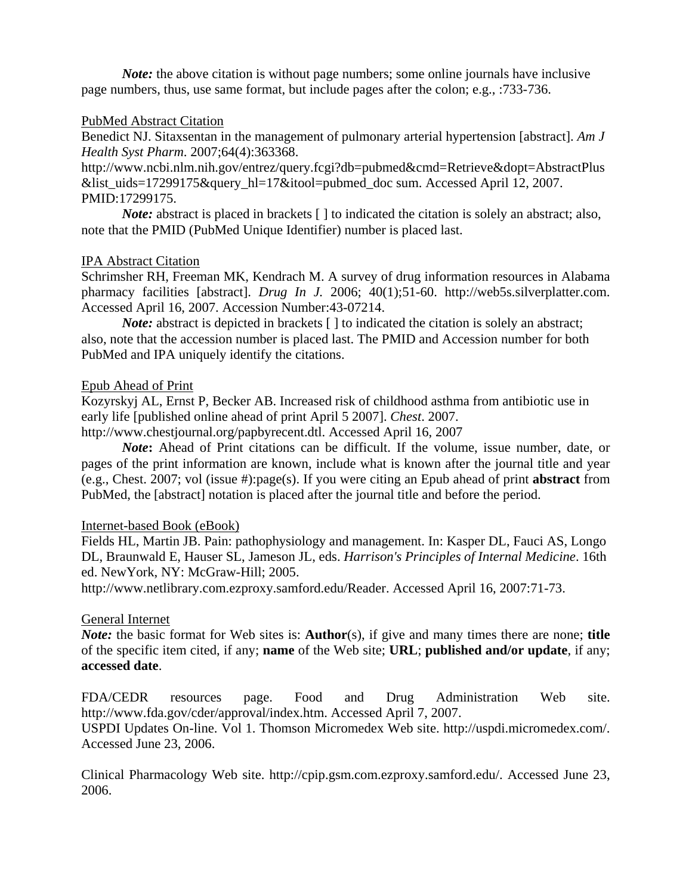*Note:* the above citation is without page numbers; some online journals have inclusive page numbers, thus, use same format, but include pages after the colon; e.g., :733-736.

## PubMed Abstract Citation

Benedict NJ. Sitaxsentan in the management of pulmonary arterial hypertension [abstract]. *Am J Health Syst Pharm*. 2007;64(4):363368.

http://www.ncbi.nlm.nih.gov/entrez/query.fcgi?db=pubmed&cmd=Retrieve&dopt=AbstractPlus &list\_uids=17299175&query\_hl=17&itool=pubmed\_doc sum. Accessed April 12, 2007. PMID:17299175.

*Note*: abstract is placed in brackets [] to indicated the citation is solely an abstract; also, note that the PMID (PubMed Unique Identifier) number is placed last.

#### IPA Abstract Citation

Schrimsher RH, Freeman MK, Kendrach M. A survey of drug information resources in Alabama pharmacy facilities [abstract]. *Drug In J.* 2006; 40(1);51-60. http://web5s.silverplatter.com. Accessed April 16, 2007. Accession Number:43-07214.

*Note:* abstract is depicted in brackets  $\lceil \cdot \rceil$  to indicated the citation is solely an abstract; also, note that the accession number is placed last. The PMID and Accession number for both PubMed and IPA uniquely identify the citations.

#### Epub Ahead of Print

Kozyrskyj AL, Ernst P, Becker AB. Increased risk of childhood asthma from antibiotic use in early life [published online ahead of print April 5 2007]. *Chest*. 2007.

http://www.chestjournal.org/papbyrecent.dtl. Accessed April 16, 2007

*Note***:** Ahead of Print citations can be difficult. If the volume, issue number, date, or pages of the print information are known, include what is known after the journal title and year (e.g., Chest. 2007; vol (issue #):page(s). If you were citing an Epub ahead of print **abstract** from PubMed, the [abstract] notation is placed after the journal title and before the period.

## Internet-based Book (eBook)

Fields HL, Martin JB. Pain: pathophysiology and management. In: Kasper DL, Fauci AS, Longo DL, Braunwald E, Hauser SL, Jameson JL, eds. *Harrison's Principles of Internal Medicine*. 16th ed. NewYork, NY: McGraw-Hill; 2005.

http://www.netlibrary.com.ezproxy.samford.edu/Reader. Accessed April 16, 2007:71-73.

#### General Internet

*Note:* the basic format for Web sites is: **Author**(s), if give and many times there are none; **title**  of the specific item cited, if any; **name** of the Web site; **URL**; **published and/or update**, if any; **accessed date**.

FDA/CEDR resources page. Food and Drug Administration Web site. http://www.fda.gov/cder/approval/index.htm. Accessed April 7, 2007.

USPDI Updates On-line. Vol 1. Thomson Micromedex Web site. http://uspdi.micromedex.com/. Accessed June 23, 2006.

Clinical Pharmacology Web site. http://cpip.gsm.com.ezproxy.samford.edu/. Accessed June 23, 2006.